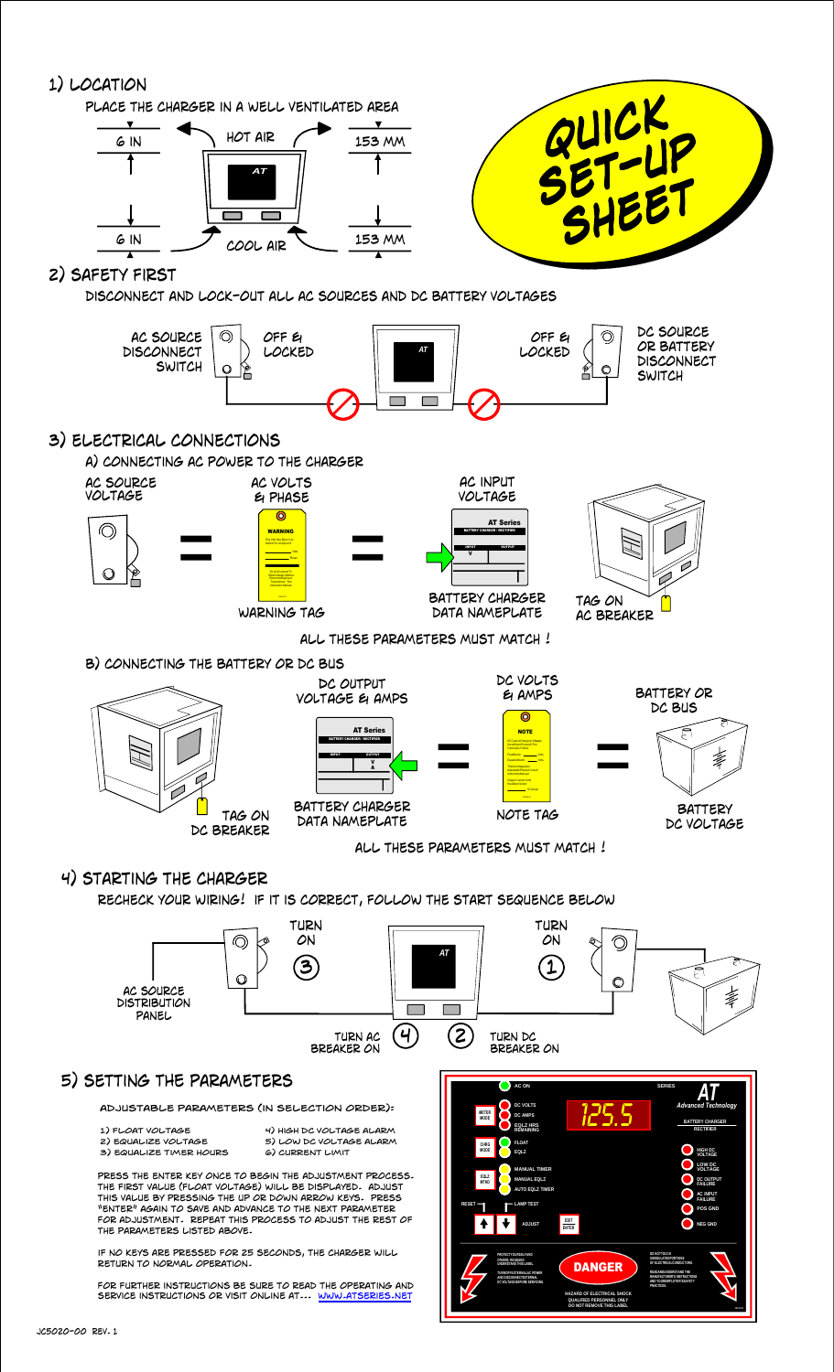